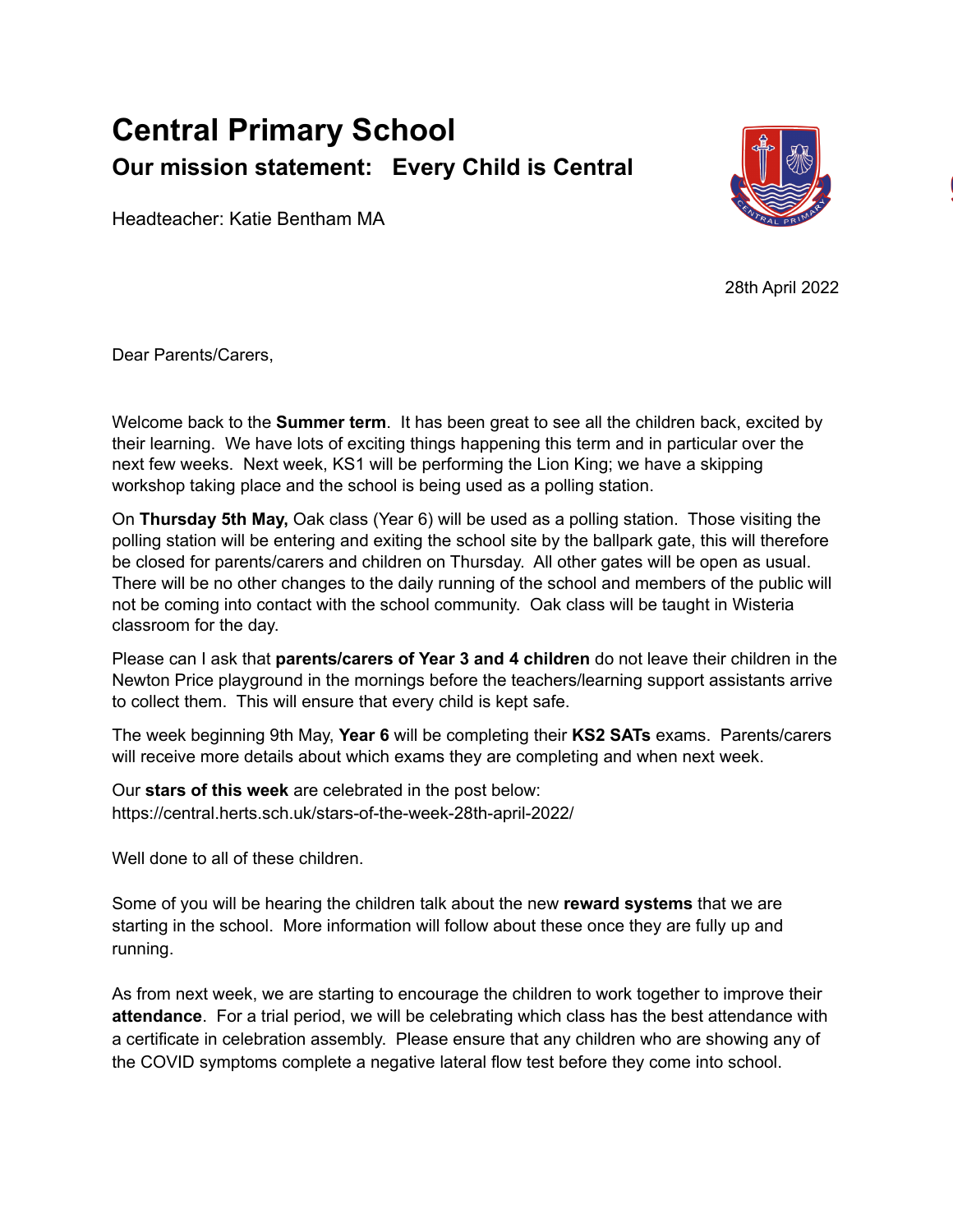## **Central Primary School Our mission statement: Every Child is Central**



Headteacher: Katie Bentham MA

28th April 2022

Dear Parents/Carers,

Welcome back to the **Summer term**. It has been great to see all the children back, excited by their learning. We have lots of exciting things happening this term and in particular over the next few weeks. Next week, KS1 will be performing the Lion King; we have a skipping workshop taking place and the school is being used as a polling station.

On **Thursday 5th May,** Oak class (Year 6) will be used as a polling station. Those visiting the polling station will be entering and exiting the school site by the ballpark gate, this will therefore be closed for parents/carers and children on Thursday. All other gates will be open as usual. There will be no other changes to the daily running of the school and members of the public will not be coming into contact with the school community. Oak class will be taught in Wisteria classroom for the day.

Please can I ask that **parents/carers of Year 3 and 4 children** do not leave their children in the Newton Price playground in the mornings before the teachers/learning support assistants arrive to collect them. This will ensure that every child is kept safe.

The week beginning 9th May, **Year 6** will be completing their **KS2 SATs** exams. Parents/carers will receive more details about which exams they are completing and when next week.

Our **stars of this week** are celebrated in the post below: https://central.herts.sch.uk/stars-of-the-week-28th-april-2022/

Well done to all of these children.

Some of you will be hearing the children talk about the new **reward systems** that we are starting in the school. More information will follow about these once they are fully up and running.

As from next week, we are starting to encourage the children to work together to improve their **attendance**. For a trial period, we will be celebrating which class has the best attendance with a certificate in celebration assembly. Please ensure that any children who are showing any of the COVID symptoms complete a negative lateral flow test before they come into school.